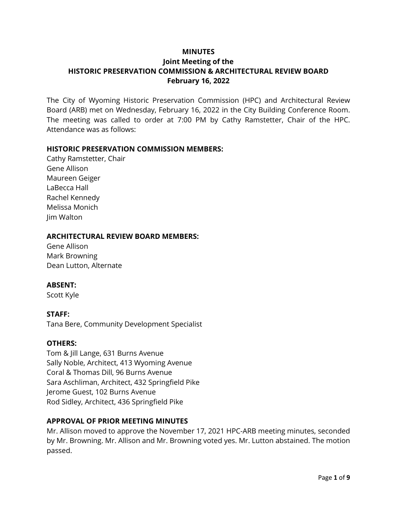### **MINUTES**

## **Joint Meeting of the HISTORIC PRESERVATION COMMISSION & ARCHITECTURAL REVIEW BOARD February 16, 2022**

The City of Wyoming Historic Preservation Commission (HPC) and Architectural Review Board (ARB) met on Wednesday, February 16, 2022 in the City Building Conference Room. The meeting was called to order at 7:00 PM by Cathy Ramstetter, Chair of the HPC. Attendance was as follows:

### **HISTORIC PRESERVATION COMMISSION MEMBERS:**

Cathy Ramstetter, Chair Gene Allison Maureen Geiger LaBecca Hall Rachel Kennedy Melissa Monich Jim Walton

#### **ARCHITECTURAL REVIEW BOARD MEMBERS:**

Gene Allison Mark Browning Dean Lutton, Alternate

### **ABSENT:**

Scott Kyle

### **STAFF:**

Tana Bere, Community Development Specialist

### **OTHERS:**

Tom & Jill Lange, 631 Burns Avenue Sally Noble, Architect, 413 Wyoming Avenue Coral & Thomas Dill, 96 Burns Avenue Sara Aschliman, Architect, 432 Springfield Pike Jerome Guest, 102 Burns Avenue Rod Sidley, Architect, 436 Springfield Pike

### **APPROVAL OF PRIOR MEETING MINUTES**

Mr. Allison moved to approve the November 17, 2021 HPC-ARB meeting minutes, seconded by Mr. Browning. Mr. Allison and Mr. Browning voted yes. Mr. Lutton abstained. The motion passed.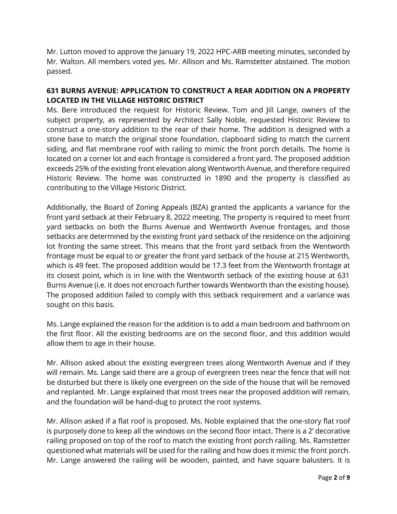Mr. Lutton moved to approve the January 19, 2022 HPC-ARB meeting minutes, seconded by Mr. Walton. All members voted yes. Mr. Allison and Ms. Ramstetter abstained. The motion passed.

## **631 BURNS AVENUE: APPLICATION TO CONSTRUCT A REAR ADDITION ON A PROPERTY LOCATED IN THE VILLAGE HISTORIC DISTRICT**

Ms. Bere introduced the request for Historic Review. Tom and Jill Lange, owners of the subject property, as represented by Architect Sally Noble, requested Historic Review to construct a one-story addition to the rear of their home. The addition is designed with a stone base to match the original stone foundation, clapboard siding to match the current siding, and flat membrane roof with railing to mimic the front porch details. The home is located on a corner lot and each frontage is considered a front yard. The proposed addition exceeds 25% of the existing front elevation along Wentworth Avenue, and therefore required Historic Review. The home was constructed in 1890 and the property is classified as contributing to the Village Historic District.

Additionally, the Board of Zoning Appeals (BZA) granted the applicants a variance for the front yard setback at their February 8, 2022 meeting. The property is required to meet front yard setbacks on both the Burns Avenue and Wentworth Avenue frontages, and those setbacks are determined by the existing front yard setback of the residence on the adjoining lot fronting the same street. This means that the front yard setback from the Wentworth frontage must be equal to or greater the front yard setback of the house at 215 Wentworth, which is 49 feet. The proposed addition would be 17.3 feet from the Wentworth frontage at its closest point, which is in line with the Wentworth setback of the existing house at 631 Burns Avenue (i.e. it does not encroach further towards Wentworth than the existing house). The proposed addition failed to comply with this setback requirement and a variance was sought on this basis.

Ms. Lange explained the reason for the addition is to add a main bedroom and bathroom on the first floor. All the existing bedrooms are on the second floor, and this addition would allow them to age in their house.

Mr. Allison asked about the existing evergreen trees along Wentworth Avenue and if they will remain. Ms. Lange said there are a group of evergreen trees near the fence that will not be disturbed but there is likely one evergreen on the side of the house that will be removed and replanted. Mr. Lange explained that most trees near the proposed addition will remain, and the foundation will be hand-dug to protect the root systems.

Mr. Allison asked if a flat roof is proposed. Ms. Noble explained that the one-story flat roof is purposely done to keep all the windows on the second floor intact. There is a 2' decorative railing proposed on top of the roof to match the existing front porch railing. Ms. Ramstetter questioned what materials will be used for the railing and how does it mimic the front porch. Mr. Lange answered the railing will be wooden, painted, and have square balusters. It is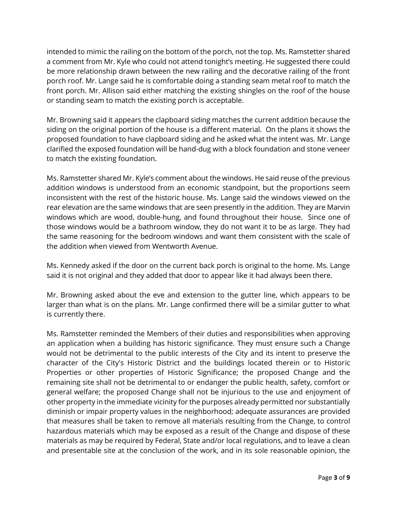intended to mimic the railing on the bottom of the porch, not the top. Ms. Ramstetter shared a comment from Mr. Kyle who could not attend tonight's meeting. He suggested there could be more relationship drawn between the new railing and the decorative railing of the front porch roof. Mr. Lange said he is comfortable doing a standing seam metal roof to match the front porch. Mr. Allison said either matching the existing shingles on the roof of the house or standing seam to match the existing porch is acceptable.

Mr. Browning said it appears the clapboard siding matches the current addition because the siding on the original portion of the house is a different material. On the plans it shows the proposed foundation to have clapboard siding and he asked what the intent was. Mr. Lange clarified the exposed foundation will be hand-dug with a block foundation and stone veneer to match the existing foundation.

Ms. Ramstetter shared Mr. Kyle's comment about the windows. He said reuse of the previous addition windows is understood from an economic standpoint, but the proportions seem inconsistent with the rest of the historic house. Ms. Lange said the windows viewed on the rear elevation are the same windows that are seen presently in the addition. They are Marvin windows which are wood, double-hung, and found throughout their house. Since one of those windows would be a bathroom window, they do not want it to be as large. They had the same reasoning for the bedroom windows and want them consistent with the scale of the addition when viewed from Wentworth Avenue.

Ms. Kennedy asked if the door on the current back porch is original to the home. Ms. Lange said it is not original and they added that door to appear like it had always been there.

Mr. Browning asked about the eve and extension to the gutter line, which appears to be larger than what is on the plans. Mr. Lange confirmed there will be a similar gutter to what is currently there.

Ms. Ramstetter reminded the Members of their duties and responsibilities when approving an application when a building has historic significance. They must ensure such a Change would not be detrimental to the public interests of the City and its intent to preserve the character of the City's Historic District and the buildings located therein or to Historic Properties or other properties of Historic Significance; the proposed Change and the remaining site shall not be detrimental to or endanger the public health, safety, comfort or general welfare; the proposed Change shall not be injurious to the use and enjoyment of other property in the immediate vicinity for the purposes already permitted nor substantially diminish or impair property values in the neighborhood; adequate assurances are provided that measures shall be taken to remove all materials resulting from the Change, to control hazardous materials which may be exposed as a result of the Change and dispose of these materials as may be required by Federal, State and/or local regulations, and to leave a clean and presentable site at the conclusion of the work, and in its sole reasonable opinion, the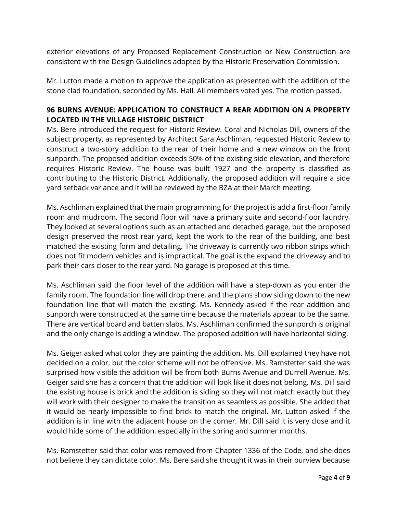exterior elevations of any Proposed Replacement Construction or New Construction are consistent with the Design Guidelines adopted by the Historic Preservation Commission.

Mr. Lutton made a motion to approve the application as presented with the addition of the stone clad foundation, seconded by Ms. Hall. All members voted yes. The motion passed.

## **96 BURNS AVENUE: APPLICATION TO CONSTRUCT A REAR ADDITION ON A PROPERTY LOCATED IN THE VILLAGE HISTORIC DISTRICT**

Ms. Bere introduced the request for Historic Review. Coral and Nicholas Dill, owners of the subject property, as represented by Architect Sara Aschliman, requested Historic Review to construct a two-story addition to the rear of their home and a new window on the front sunporch. The proposed addition exceeds 50% of the existing side elevation, and therefore requires Historic Review. The house was built 1927 and the property is classified as contributing to the Historic District. Additionally, the proposed addition will require a side yard setback variance and it will be reviewed by the BZA at their March meeting.

Ms. Aschliman explained that the main programming for the project is add a first-floor family room and mudroom. The second floor will have a primary suite and second-floor laundry. They looked at several options such as an attached and detached garage, but the proposed design preserved the most rear yard, kept the work to the rear of the building, and best matched the existing form and detailing. The driveway is currently two ribbon strips which does not fit modern vehicles and is impractical. The goal is the expand the driveway and to park their cars closer to the rear yard. No garage is proposed at this time.

Ms. Aschliman said the floor level of the addition will have a step-down as you enter the family room. The foundation line will drop there, and the plans show siding down to the new foundation line that will match the existing. Ms. Kennedy asked if the rear addition and sunporch were constructed at the same time because the materials appear to be the same. There are vertical board and batten slabs. Ms. Aschliman confirmed the sunporch is original and the only change is adding a window. The proposed addition will have horizontal siding.

Ms. Geiger asked what color they are painting the addition. Ms. Dill explained they have not decided on a color, but the color scheme will not be offensive. Ms. Ramstetter said she was surprised how visible the addition will be from both Burns Avenue and Durrell Avenue. Ms. Geiger said she has a concern that the addition will look like it does not belong. Ms. Dill said the existing house is brick and the addition is siding so they will not match exactly but they will work with their designer to make the transition as seamless as possible. She added that it would be nearly impossible to find brick to match the original. Mr. Lutton asked if the addition is in line with the adjacent house on the corner. Mr. Dill said it is very close and it would hide some of the addition, especially in the spring and summer months.

Ms. Ramstetter said that color was removed from Chapter 1336 of the Code, and she does not believe they can dictate color. Ms. Bere said she thought it was in their purview because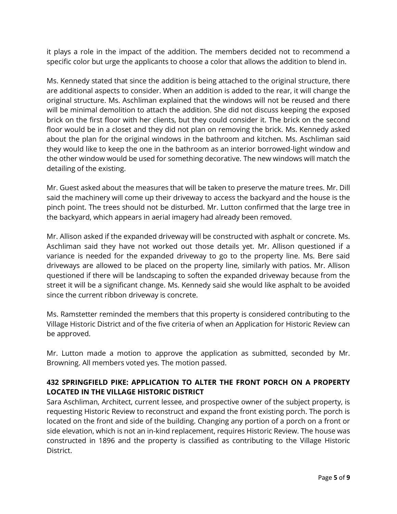it plays a role in the impact of the addition. The members decided not to recommend a specific color but urge the applicants to choose a color that allows the addition to blend in.

Ms. Kennedy stated that since the addition is being attached to the original structure, there are additional aspects to consider. When an addition is added to the rear, it will change the original structure. Ms. Aschliman explained that the windows will not be reused and there will be minimal demolition to attach the addition. She did not discuss keeping the exposed brick on the first floor with her clients, but they could consider it. The brick on the second floor would be in a closet and they did not plan on removing the brick. Ms. Kennedy asked about the plan for the original windows in the bathroom and kitchen. Ms. Aschliman said they would like to keep the one in the bathroom as an interior borrowed-light window and the other window would be used for something decorative. The new windows will match the detailing of the existing.

Mr. Guest asked about the measures that will be taken to preserve the mature trees. Mr. Dill said the machinery will come up their driveway to access the backyard and the house is the pinch point. The trees should not be disturbed. Mr. Lutton confirmed that the large tree in the backyard, which appears in aerial imagery had already been removed.

Mr. Allison asked if the expanded driveway will be constructed with asphalt or concrete. Ms. Aschliman said they have not worked out those details yet. Mr. Allison questioned if a variance is needed for the expanded driveway to go to the property line. Ms. Bere said driveways are allowed to be placed on the property line, similarly with patios. Mr. Allison questioned if there will be landscaping to soften the expanded driveway because from the street it will be a significant change. Ms. Kennedy said she would like asphalt to be avoided since the current ribbon driveway is concrete.

Ms. Ramstetter reminded the members that this property is considered contributing to the Village Historic District and of the five criteria of when an Application for Historic Review can be approved.

Mr. Lutton made a motion to approve the application as submitted, seconded by Mr. Browning. All members voted yes. The motion passed.

# **432 SPRINGFIELD PIKE: APPLICATION TO ALTER THE FRONT PORCH ON A PROPERTY LOCATED IN THE VILLAGE HISTORIC DISTRICT**

Sara Aschliman, Architect, current lessee, and prospective owner of the subject property, is requesting Historic Review to reconstruct and expand the front existing porch. The porch is located on the front and side of the building. Changing any portion of a porch on a front or side elevation, which is not an in-kind replacement, requires Historic Review. The house was constructed in 1896 and the property is classified as contributing to the Village Historic District.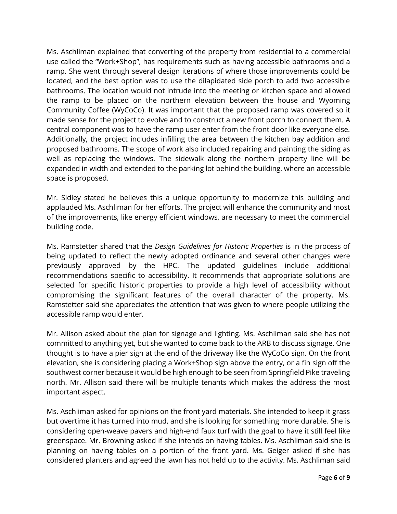Ms. Aschliman explained that converting of the property from residential to a commercial use called the "Work+Shop", has requirements such as having accessible bathrooms and a ramp. She went through several design iterations of where those improvements could be located, and the best option was to use the dilapidated side porch to add two accessible bathrooms. The location would not intrude into the meeting or kitchen space and allowed the ramp to be placed on the northern elevation between the house and Wyoming Community Coffee (WyCoCo). It was important that the proposed ramp was covered so it made sense for the project to evolve and to construct a new front porch to connect them. A central component was to have the ramp user enter from the front door like everyone else. Additionally, the project includes infilling the area between the kitchen bay addition and proposed bathrooms. The scope of work also included repairing and painting the siding as well as replacing the windows. The sidewalk along the northern property line will be expanded in width and extended to the parking lot behind the building, where an accessible space is proposed.

Mr. Sidley stated he believes this a unique opportunity to modernize this building and applauded Ms. Aschliman for her efforts. The project will enhance the community and most of the improvements, like energy efficient windows, are necessary to meet the commercial building code.

Ms. Ramstetter shared that the *Design Guidelines for Historic Properties* is in the process of being updated to reflect the newly adopted ordinance and several other changes were previously approved by the HPC. The updated guidelines include additional recommendations specific to accessibility. It recommends that appropriate solutions are selected for specific historic properties to provide a high level of accessibility without compromising the significant features of the overall character of the property. Ms. Ramstetter said she appreciates the attention that was given to where people utilizing the accessible ramp would enter.

Mr. Allison asked about the plan for signage and lighting. Ms. Aschliman said she has not committed to anything yet, but she wanted to come back to the ARB to discuss signage. One thought is to have a pier sign at the end of the driveway like the WyCoCo sign. On the front elevation, she is considering placing a Work+Shop sign above the entry, or a fin sign off the southwest corner because it would be high enough to be seen from Springfield Pike traveling north. Mr. Allison said there will be multiple tenants which makes the address the most important aspect.

Ms. Aschliman asked for opinions on the front yard materials. She intended to keep it grass but overtime it has turned into mud, and she is looking for something more durable. She is considering open-weave pavers and high-end faux turf with the goal to have it still feel like greenspace. Mr. Browning asked if she intends on having tables. Ms. Aschliman said she is planning on having tables on a portion of the front yard. Ms. Geiger asked if she has considered planters and agreed the lawn has not held up to the activity. Ms. Aschliman said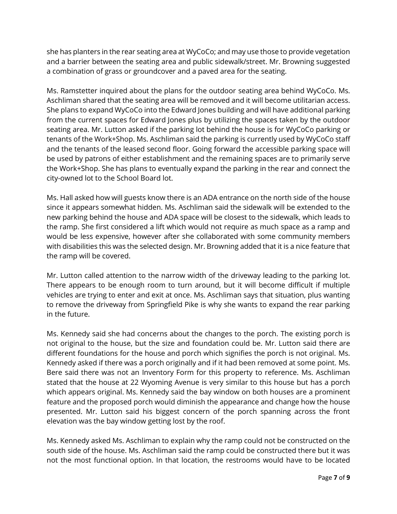she has planters in the rear seating area at WyCoCo; and may use those to provide vegetation and a barrier between the seating area and public sidewalk/street. Mr. Browning suggested a combination of grass or groundcover and a paved area for the seating.

Ms. Ramstetter inquired about the plans for the outdoor seating area behind WyCoCo. Ms. Aschliman shared that the seating area will be removed and it will become utilitarian access. She plans to expand WyCoCo into the Edward Jones building and will have additional parking from the current spaces for Edward Jones plus by utilizing the spaces taken by the outdoor seating area. Mr. Lutton asked if the parking lot behind the house is for WyCoCo parking or tenants of the Work+Shop. Ms. Aschliman said the parking is currently used by WyCoCo staff and the tenants of the leased second floor. Going forward the accessible parking space will be used by patrons of either establishment and the remaining spaces are to primarily serve the Work+Shop. She has plans to eventually expand the parking in the rear and connect the city-owned lot to the School Board lot.

Ms. Hall asked how will guests know there is an ADA entrance on the north side of the house since it appears somewhat hidden. Ms. Aschliman said the sidewalk will be extended to the new parking behind the house and ADA space will be closest to the sidewalk, which leads to the ramp. She first considered a lift which would not require as much space as a ramp and would be less expensive, however after she collaborated with some community members with disabilities this was the selected design. Mr. Browning added that it is a nice feature that the ramp will be covered.

Mr. Lutton called attention to the narrow width of the driveway leading to the parking lot. There appears to be enough room to turn around, but it will become difficult if multiple vehicles are trying to enter and exit at once. Ms. Aschliman says that situation, plus wanting to remove the driveway from Springfield Pike is why she wants to expand the rear parking in the future.

Ms. Kennedy said she had concerns about the changes to the porch. The existing porch is not original to the house, but the size and foundation could be. Mr. Lutton said there are different foundations for the house and porch which signifies the porch is not original. Ms. Kennedy asked if there was a porch originally and if it had been removed at some point. Ms. Bere said there was not an Inventory Form for this property to reference. Ms. Aschliman stated that the house at 22 Wyoming Avenue is very similar to this house but has a porch which appears original. Ms. Kennedy said the bay window on both houses are a prominent feature and the proposed porch would diminish the appearance and change how the house presented. Mr. Lutton said his biggest concern of the porch spanning across the front elevation was the bay window getting lost by the roof.

Ms. Kennedy asked Ms. Aschliman to explain why the ramp could not be constructed on the south side of the house. Ms. Aschliman said the ramp could be constructed there but it was not the most functional option. In that location, the restrooms would have to be located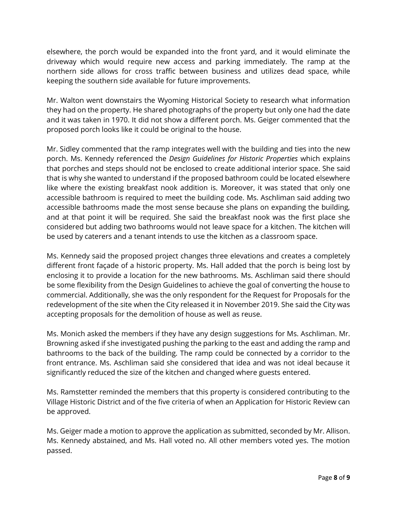elsewhere, the porch would be expanded into the front yard, and it would eliminate the driveway which would require new access and parking immediately. The ramp at the northern side allows for cross traffic between business and utilizes dead space, while keeping the southern side available for future improvements.

Mr. Walton went downstairs the Wyoming Historical Society to research what information they had on the property. He shared photographs of the property but only one had the date and it was taken in 1970. It did not show a different porch. Ms. Geiger commented that the proposed porch looks like it could be original to the house.

Mr. Sidley commented that the ramp integrates well with the building and ties into the new porch. Ms. Kennedy referenced the *Design Guidelines for Historic Properties* which explains that porches and steps should not be enclosed to create additional interior space. She said that is why she wanted to understand if the proposed bathroom could be located elsewhere like where the existing breakfast nook addition is. Moreover, it was stated that only one accessible bathroom is required to meet the building code. Ms. Aschliman said adding two accessible bathrooms made the most sense because she plans on expanding the building, and at that point it will be required. She said the breakfast nook was the first place she considered but adding two bathrooms would not leave space for a kitchen. The kitchen will be used by caterers and a tenant intends to use the kitchen as a classroom space.

Ms. Kennedy said the proposed project changes three elevations and creates a completely different front façade of a historic property. Ms. Hall added that the porch is being lost by enclosing it to provide a location for the new bathrooms. Ms. Aschliman said there should be some flexibility from the Design Guidelines to achieve the goal of converting the house to commercial. Additionally, she was the only respondent for the Request for Proposals for the redevelopment of the site when the City released it in November 2019. She said the City was accepting proposals for the demolition of house as well as reuse.

Ms. Monich asked the members if they have any design suggestions for Ms. Aschliman. Mr. Browning asked if she investigated pushing the parking to the east and adding the ramp and bathrooms to the back of the building. The ramp could be connected by a corridor to the front entrance. Ms. Aschliman said she considered that idea and was not ideal because it significantly reduced the size of the kitchen and changed where guests entered.

Ms. Ramstetter reminded the members that this property is considered contributing to the Village Historic District and of the five criteria of when an Application for Historic Review can be approved.

Ms. Geiger made a motion to approve the application as submitted, seconded by Mr. Allison. Ms. Kennedy abstained, and Ms. Hall voted no. All other members voted yes. The motion passed.